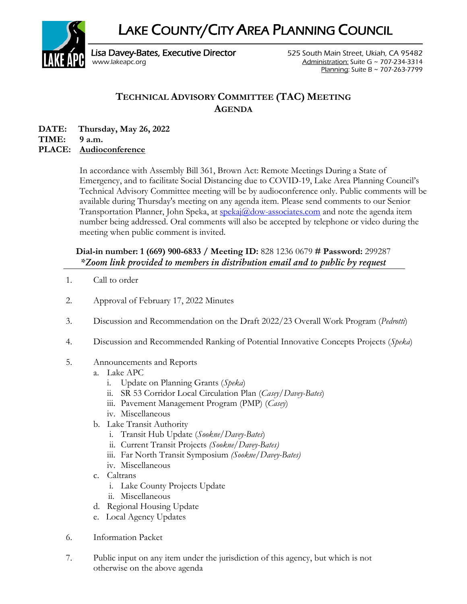LAKE COUNTY/CITY AREA PLANNING COUNCIL



Lisa Davey-Bates, Executive Director **525 South Main Street, Ukiah, CA 95482** [www.lakeapc.org](http://www.lakeapc.org/) Administration: Suite G ~ 707-234-3314 Planning: Suite B ~ 707-263-7799

## **TECHNICAL ADVISORY COMMITTEE (TAC) MEETING AGENDA**

**DATE: Thursday, May 26, 2022 TIME: 9 a.m.**

## **PLACE: Audioconference**

In accordance with Assembly Bill 361, Brown Act: Remote Meetings During a State of Emergency, and to facilitate Social Distancing due to COVID-19, Lake Area Planning Council's Technical Advisory Committee meeting will be by audioconference only. Public comments will be available during Thursday's meeting on any agenda item. Please send comments to our Senior Transportation Planner, John Speka, at [spekaj@dow-associates.com](mailto:spekaj@dow-associates.com) and note the agenda item number being addressed. Oral comments will also be accepted by telephone or video during the meeting when public comment is invited.

## **Dial-in number: 1 (669) 900-6833 / Meeting ID:** 828 1236 0679 **# Password:** 299287 *\*Zoom link provided to members in distribution email and to public by request*

- 1. Call to order
- 2. Approval of February 17, 2022 Minutes
- 3. Discussion and Recommendation on the Draft 2022/23 Overall Work Program (*Pedrotti*)
- 4. Discussion and Recommended Ranking of Potential Innovative Concepts Projects (*Speka*)
- 5. Announcements and Reports
	- a. Lake APC
		- i. Update on Planning Grants (*Speka*)
		- ii. SR 53 Corridor Local Circulation Plan (*Casey/Davey-Bates*)
		- iii. Pavement Management Program (PMP) (*Casey*)
		- iv. Miscellaneous
	- b. Lake Transit Authority
		- i. Transit Hub Update (*Sookne/Davey-Bates*)
		- ii. Current Transit Projects *(Sookne/Davey-Bates)*
		- iii. Far North Transit Symposium *(Sookne/Davey-Bates)*
		- iv. Miscellaneous
	- c. Caltrans
		- i. Lake County Projects Update
		- ii. Miscellaneous
	- d. Regional Housing Update
	- e. Local Agency Updates
- 6. Information Packet
- 7. Public input on any item under the jurisdiction of this agency, but which is not otherwise on the above agenda